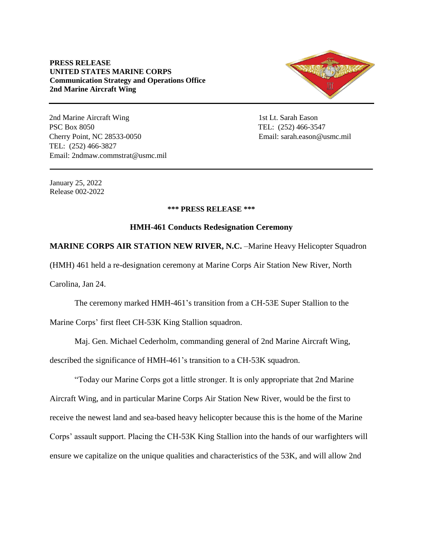## **PRESS RELEASE UNITED STATES MARINE CORPS Communication Strategy and Operations Office 2nd Marine Aircraft Wing**



2nd Marine Aircraft Wing 1st Lt. Sarah Eason PSC Box 8050 TEL: (252) 466-3547 Cherry Point, NC 28533-0050 Email: sarah.eason@usmc.mil TEL: (252) 466-3827 Email: 2ndmaw.commstrat@usmc.mil

January 25, 2022 Release 002-2022

## **\*\*\* PRESS RELEASE \*\*\***

## **HMH-461 Conducts Redesignation Ceremony**

**MARINE CORPS AIR STATION NEW RIVER, N.C.** –Marine Heavy Helicopter Squadron

(HMH) 461 held a re-designation ceremony at Marine Corps Air Station New River, North

Carolina, Jan 24.

The ceremony marked HMH-461's transition from a CH-53E Super Stallion to the Marine Corps' first fleet CH-53K King Stallion squadron.

Maj. Gen. Michael Cederholm, commanding general of 2nd Marine Aircraft Wing,

described the significance of HMH-461's transition to a CH-53K squadron.

"Today our Marine Corps got a little stronger. It is only appropriate that 2nd Marine Aircraft Wing, and in particular Marine Corps Air Station New River, would be the first to receive the newest land and sea-based heavy helicopter because this is the home of the Marine Corps' assault support. Placing the CH-53K King Stallion into the hands of our warfighters will ensure we capitalize on the unique qualities and characteristics of the 53K, and will allow 2nd